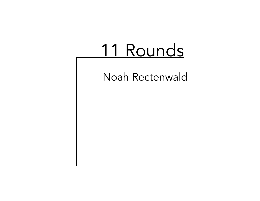# 11 Rounds

Noah Rectenwald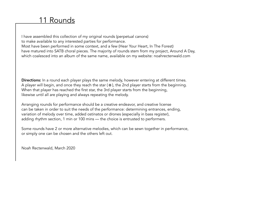## 11 Rounds

I have assembled this collection of my original rounds (perpetual canons) to make available to any interested parties for performance. Most have been performed in some context, and a few (Hear Your Heart, In The Forest) have matured into SATB choral pieces. The majority of rounds stem from my project, Around A Day, which coalesced into an album of the same name, available on my website: noahrectenwald.com

Directions: In a round each player plays the same melody, however entering at different times. Di**rections:** In a round each player plays the same melody, however entering at different times.<br>A player will begin, and once they reach the star (※), the 2nd player starts from the beginning. When that player has reached the first star, the 3rd player starts from the beginning, likewise until all are playing and always repeating the melody.

Arranging rounds for performance should be a creative endeavor, and creative license can be taken in order to suit the needs of the performance: determining entrances, ending, variation of melody over time, added ostinatos or drones (especially in bass register), adding rhythm section, 1 min or 100 mins — the choice is entrusted to performers.

Some rounds have 2 or more alternative melodies, which can be sewn together in performance, or simply one can be chosen and the others left out.

Noah Rectenwald, March 2020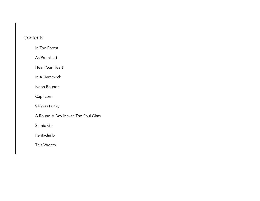#### Contents:

In The Forest

As Promised

Hear Your Heart

In A Hammock

Neon Rounds

Capricorn

94 Was Funky

A Round A Day Makes The Soul Okay

Sumio Go

Pentaclimb

This Wreath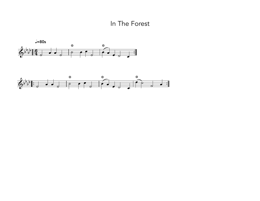In The Forest



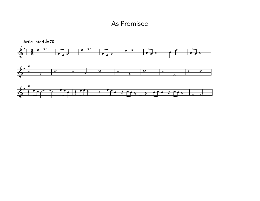#### As Promised

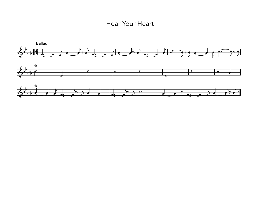#### Hear Your Heart

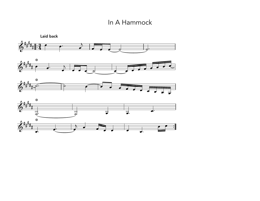#### In A Hammock

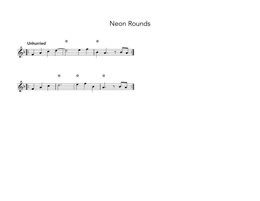#### Neon Rounds

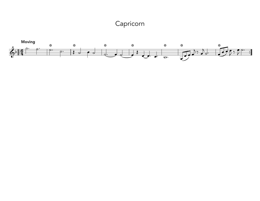## Capricorn

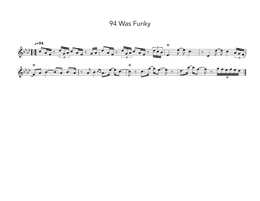94 Was Funky

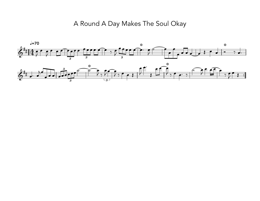## A Round A Day Makes The Soul Okay

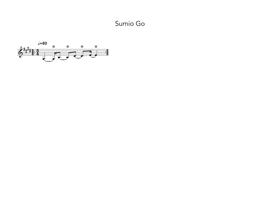Sumio Go

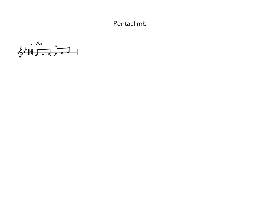### Pentaclimb